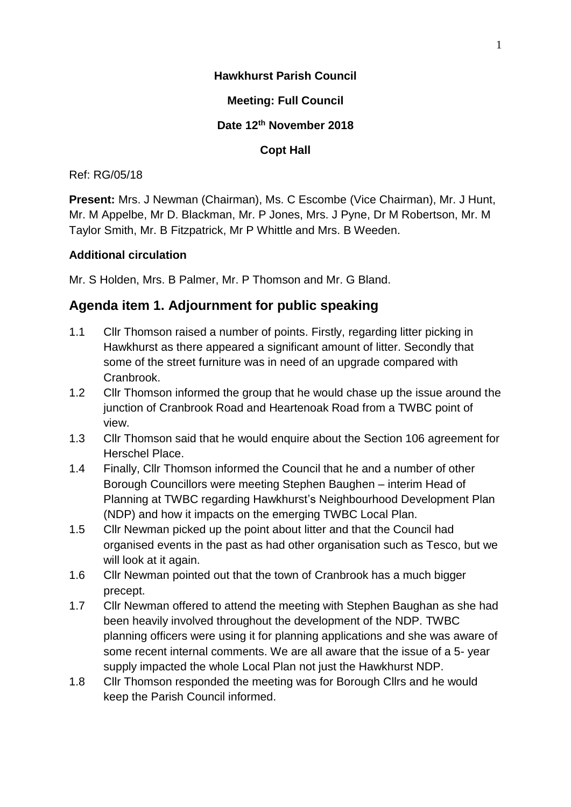## **Hawkhurst Parish Council**

## **Meeting: Full Council**

## **Date 12th November 2018**

## **Copt Hall**

### Ref: RG/05/18

**Present:** Mrs. J Newman (Chairman), Ms. C Escombe (Vice Chairman), Mr. J Hunt, Mr. M Appelbe, Mr D. Blackman, Mr. P Jones, Mrs. J Pyne, Dr M Robertson, Mr. M Taylor Smith, Mr. B Fitzpatrick, Mr P Whittle and Mrs. B Weeden.

### **Additional circulation**

Mr. S Holden, Mrs. B Palmer, Mr. P Thomson and Mr. G Bland.

## **Agenda item 1. Adjournment for public speaking**

- 1.1 Cllr Thomson raised a number of points. Firstly, regarding litter picking in Hawkhurst as there appeared a significant amount of litter. Secondly that some of the street furniture was in need of an upgrade compared with Cranbrook.
- 1.2 Cllr Thomson informed the group that he would chase up the issue around the junction of Cranbrook Road and Heartenoak Road from a TWBC point of view.
- 1.3 Cllr Thomson said that he would enquire about the Section 106 agreement for Herschel Place.
- 1.4 Finally, Cllr Thomson informed the Council that he and a number of other Borough Councillors were meeting Stephen Baughen – interim Head of Planning at TWBC regarding Hawkhurst's Neighbourhood Development Plan (NDP) and how it impacts on the emerging TWBC Local Plan.
- 1.5 Cllr Newman picked up the point about litter and that the Council had organised events in the past as had other organisation such as Tesco, but we will look at it again.
- 1.6 Cllr Newman pointed out that the town of Cranbrook has a much bigger precept.
- 1.7 Cllr Newman offered to attend the meeting with Stephen Baughan as she had been heavily involved throughout the development of the NDP. TWBC planning officers were using it for planning applications and she was aware of some recent internal comments. We are all aware that the issue of a 5- year supply impacted the whole Local Plan not just the Hawkhurst NDP.
- 1.8 Cllr Thomson responded the meeting was for Borough Cllrs and he would keep the Parish Council informed.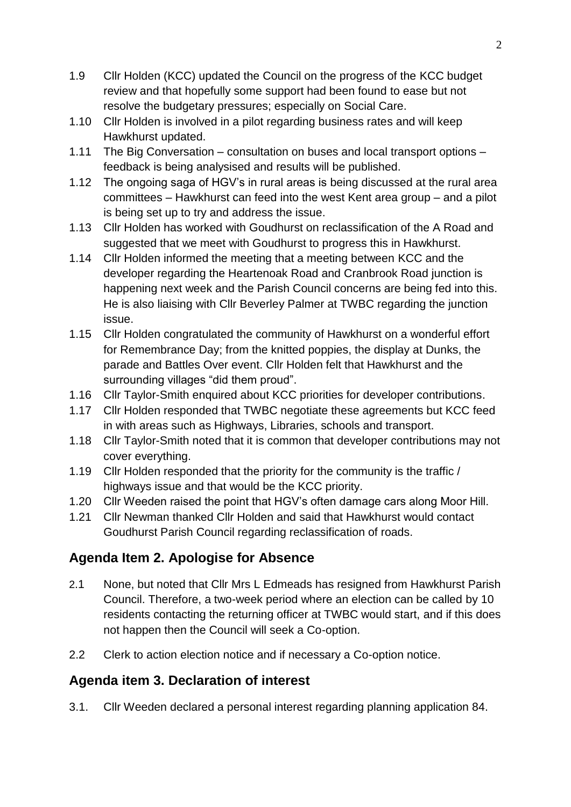- 1.9 Cllr Holden (KCC) updated the Council on the progress of the KCC budget review and that hopefully some support had been found to ease but not resolve the budgetary pressures; especially on Social Care.
- 1.10 Cllr Holden is involved in a pilot regarding business rates and will keep Hawkhurst updated.
- 1.11 The Big Conversation consultation on buses and local transport options feedback is being analysised and results will be published.
- 1.12 The ongoing saga of HGV's in rural areas is being discussed at the rural area committees – Hawkhurst can feed into the west Kent area group – and a pilot is being set up to try and address the issue.
- 1.13 Cllr Holden has worked with Goudhurst on reclassification of the A Road and suggested that we meet with Goudhurst to progress this in Hawkhurst.
- 1.14 Cllr Holden informed the meeting that a meeting between KCC and the developer regarding the Heartenoak Road and Cranbrook Road junction is happening next week and the Parish Council concerns are being fed into this. He is also liaising with Cllr Beverley Palmer at TWBC regarding the junction issue.
- 1.15 Cllr Holden congratulated the community of Hawkhurst on a wonderful effort for Remembrance Day; from the knitted poppies, the display at Dunks, the parade and Battles Over event. Cllr Holden felt that Hawkhurst and the surrounding villages "did them proud".
- 1.16 Cllr Taylor-Smith enquired about KCC priorities for developer contributions.
- 1.17 Cllr Holden responded that TWBC negotiate these agreements but KCC feed in with areas such as Highways, Libraries, schools and transport.
- 1.18 Cllr Taylor-Smith noted that it is common that developer contributions may not cover everything.
- 1.19 Cllr Holden responded that the priority for the community is the traffic / highways issue and that would be the KCC priority.
- 1.20 Cllr Weeden raised the point that HGV's often damage cars along Moor Hill.
- 1.21 Cllr Newman thanked Cllr Holden and said that Hawkhurst would contact Goudhurst Parish Council regarding reclassification of roads.

# **Agenda Item 2. Apologise for Absence**

- 2.1 None, but noted that Cllr Mrs L Edmeads has resigned from Hawkhurst Parish Council. Therefore, a two-week period where an election can be called by 10 residents contacting the returning officer at TWBC would start, and if this does not happen then the Council will seek a Co-option.
- 2.2 Clerk to action election notice and if necessary a Co-option notice.

# **Agenda item 3. Declaration of interest**

3.1. Cllr Weeden declared a personal interest regarding planning application 84.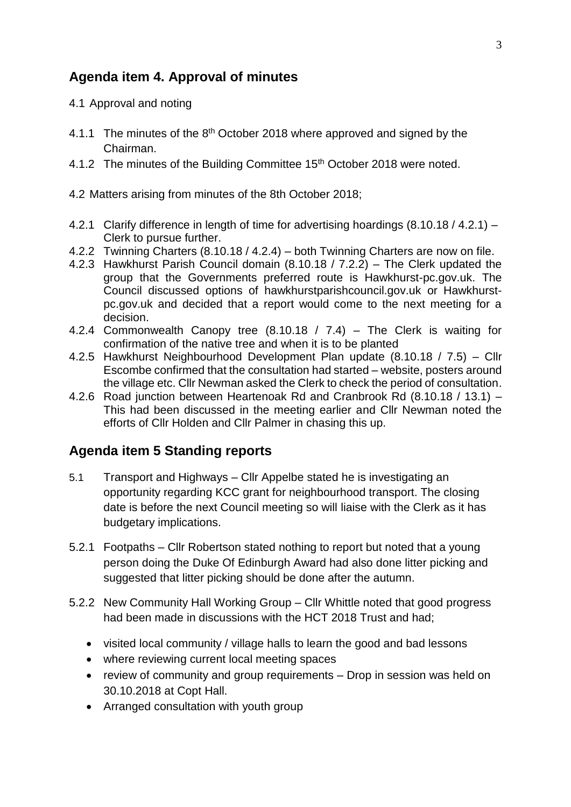# **Agenda item 4. Approval of minutes**

- 4.1 Approval and noting
- 4.1.1 The minutes of the 8<sup>th</sup> October 2018 where approved and signed by the Chairman.
- 4.1.2 The minutes of the Building Committee 15<sup>th</sup> October 2018 were noted.
- 4.2 Matters arising from minutes of the 8th October 2018;
- 4.2.1 Clarify difference in length of time for advertising hoardings (8.10.18 / 4.2.1) Clerk to pursue further.
- 4.2.2 Twinning Charters (8.10.18 / 4.2.4) both Twinning Charters are now on file.
- 4.2.3 Hawkhurst Parish Council domain (8.10.18 / 7.2.2) The Clerk updated the group that the Governments preferred route is Hawkhurst-pc.gov.uk. The Council discussed options of hawkhurstparishcouncil.gov.uk or Hawkhurstpc.gov.uk and decided that a report would come to the next meeting for a decision.
- 4.2.4 Commonwealth Canopy tree (8.10.18 / 7.4) The Clerk is waiting for confirmation of the native tree and when it is to be planted
- 4.2.5 Hawkhurst Neighbourhood Development Plan update (8.10.18 / 7.5) Cllr Escombe confirmed that the consultation had started – website, posters around the village etc. Cllr Newman asked the Clerk to check the period of consultation.
- 4.2.6 Road junction between Heartenoak Rd and Cranbrook Rd (8.10.18 / 13.1) This had been discussed in the meeting earlier and Cllr Newman noted the efforts of Cllr Holden and Cllr Palmer in chasing this up.

# **Agenda item 5 Standing reports**

- 5.1 Transport and Highways Cllr Appelbe stated he is investigating an opportunity regarding KCC grant for neighbourhood transport. The closing date is before the next Council meeting so will liaise with the Clerk as it has budgetary implications.
- 5.2.1 Footpaths Cllr Robertson stated nothing to report but noted that a young person doing the Duke Of Edinburgh Award had also done litter picking and suggested that litter picking should be done after the autumn.
- 5.2.2 New Community Hall Working Group Cllr Whittle noted that good progress had been made in discussions with the HCT 2018 Trust and had;
	- visited local community / village halls to learn the good and bad lessons
	- where reviewing current local meeting spaces
	- review of community and group requirements Drop in session was held on 30.10.2018 at Copt Hall.
	- Arranged consultation with youth group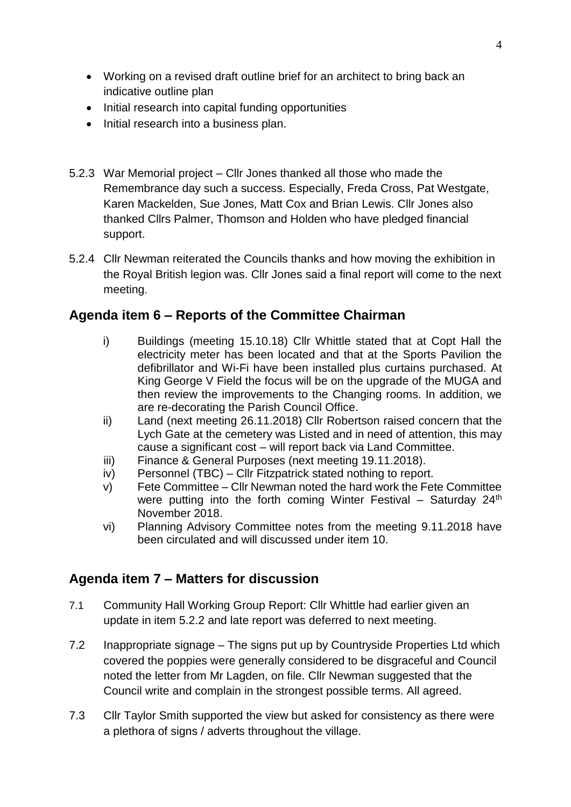- Working on a revised draft outline brief for an architect to bring back an indicative outline plan
- Initial research into capital funding opportunities
- Initial research into a business plan.
- 5.2.3 War Memorial project Cllr Jones thanked all those who made the Remembrance day such a success. Especially, Freda Cross, Pat Westgate, Karen Mackelden, Sue Jones, Matt Cox and Brian Lewis. Cllr Jones also thanked Cllrs Palmer, Thomson and Holden who have pledged financial support.
- 5.2.4 Cllr Newman reiterated the Councils thanks and how moving the exhibition in the Royal British legion was. Cllr Jones said a final report will come to the next meeting.

## **Agenda item 6 – Reports of the Committee Chairman**

- i) Buildings (meeting 15.10.18) Cllr Whittle stated that at Copt Hall the electricity meter has been located and that at the Sports Pavilion the defibrillator and Wi-Fi have been installed plus curtains purchased. At King George V Field the focus will be on the upgrade of the MUGA and then review the improvements to the Changing rooms. In addition, we are re-decorating the Parish Council Office.
- ii) Land (next meeting 26.11.2018) Cllr Robertson raised concern that the Lych Gate at the cemetery was Listed and in need of attention, this may cause a significant cost – will report back via Land Committee.
- iii) Finance & General Purposes (next meeting 19.11.2018).
- iv) Personnel (TBC) Cllr Fitzpatrick stated nothing to report.
- v) Fete Committee Cllr Newman noted the hard work the Fete Committee were putting into the forth coming Winter Festival – Saturday  $24<sup>th</sup>$ November 2018.
- vi) Planning Advisory Committee notes from the meeting 9.11.2018 have been circulated and will discussed under item 10.

# **Agenda item 7 – Matters for discussion**

- 7.1 Community Hall Working Group Report: Cllr Whittle had earlier given an update in item 5.2.2 and late report was deferred to next meeting.
- 7.2 Inappropriate signage The signs put up by Countryside Properties Ltd which covered the poppies were generally considered to be disgraceful and Council noted the letter from Mr Lagden, on file. Cllr Newman suggested that the Council write and complain in the strongest possible terms. All agreed.
- 7.3 Cllr Taylor Smith supported the view but asked for consistency as there were a plethora of signs / adverts throughout the village.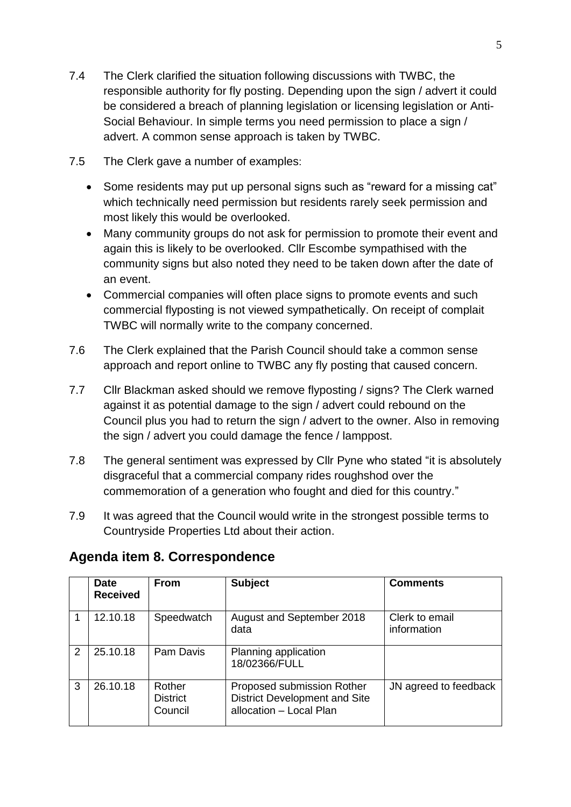5

- 7.4 The Clerk clarified the situation following discussions with TWBC, the responsible authority for fly posting. Depending upon the sign / advert it could be considered a breach of planning legislation or licensing legislation or Anti-Social Behaviour. In simple terms you need permission to place a sign / advert. A common sense approach is taken by TWBC.
- 7.5 The Clerk gave a number of examples:
	- Some residents may put up personal signs such as "reward for a missing cat" which technically need permission but residents rarely seek permission and most likely this would be overlooked.
	- Many community groups do not ask for permission to promote their event and again this is likely to be overlooked. Cllr Escombe sympathised with the community signs but also noted they need to be taken down after the date of an event.
	- Commercial companies will often place signs to promote events and such commercial flyposting is not viewed sympathetically. On receipt of complait TWBC will normally write to the company concerned.
- 7.6 The Clerk explained that the Parish Council should take a common sense approach and report online to TWBC any fly posting that caused concern.
- 7.7 Cllr Blackman asked should we remove flyposting / signs? The Clerk warned against it as potential damage to the sign / advert could rebound on the Council plus you had to return the sign / advert to the owner. Also in removing the sign / advert you could damage the fence / lamppost.
- 7.8 The general sentiment was expressed by Cllr Pyne who stated "it is absolutely disgraceful that a commercial company rides roughshod over the commemoration of a generation who fought and died for this country."
- 7.9 It was agreed that the Council would write in the strongest possible terms to Countryside Properties Ltd about their action.

|   | <b>Date</b><br><b>Received</b> | <b>From</b>                          | <b>Subject</b>                                                                                | <b>Comments</b>               |
|---|--------------------------------|--------------------------------------|-----------------------------------------------------------------------------------------------|-------------------------------|
|   | 12.10.18                       | Speedwatch                           | August and September 2018<br>data                                                             | Clerk to email<br>information |
| 2 | 25.10.18                       | Pam Davis                            | Planning application<br>18/02366/FULL                                                         |                               |
| 3 | 26.10.18                       | Rother<br><b>District</b><br>Council | Proposed submission Rother<br><b>District Development and Site</b><br>allocation - Local Plan | JN agreed to feedback         |

# **Agenda item 8. Correspondence**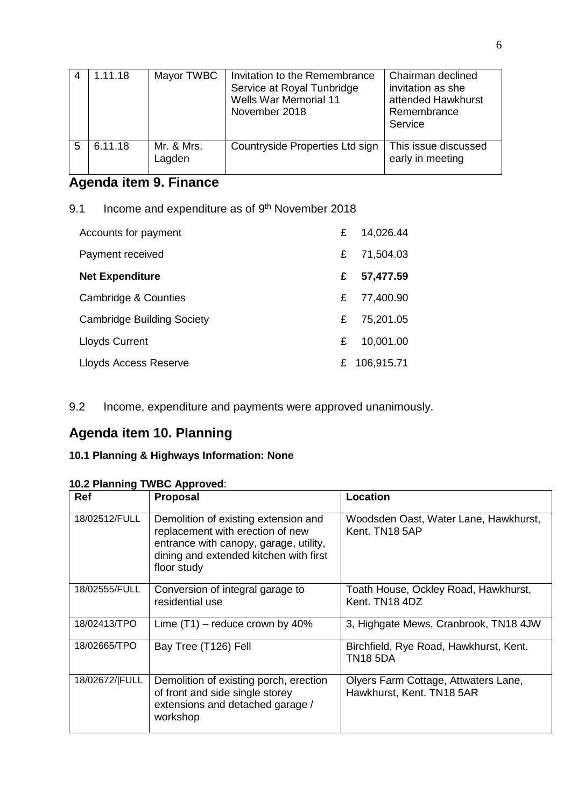|   | 1.11.18 | Mayor TWBC           | Invitation to the Remembrance<br>Service at Royal Tunbridge<br>Wells War Memorial 11<br>November 2018 | Chairman declined<br>invitation as she<br>attended Hawkhurst<br>Remembrance<br>Service |
|---|---------|----------------------|-------------------------------------------------------------------------------------------------------|----------------------------------------------------------------------------------------|
| 5 | 6.11.18 | Mr. & Mrs.<br>Lagden | Countryside Properties Ltd sign                                                                       | This issue discussed<br>early in meeting                                               |

# **Agenda item 9. Finance**

9.1 Income and expenditure as of  $9<sup>th</sup>$  November 2018

| Accounts for payment              | £  | 14,026.44  |
|-----------------------------------|----|------------|
| Payment received                  | £  | 71,504.03  |
| <b>Net Expenditure</b>            | £  | 57,477.59  |
| Cambridge & Counties              | £  | 77,400.90  |
| <b>Cambridge Building Society</b> | £  | 75,201.05  |
| <b>Lloyds Current</b>             | £  | 10,001.00  |
| Lloyds Access Reserve             | £. | 106,915.71 |

9.2 Income, expenditure and payments were approved unanimously.

# **Agenda item 10. Planning**

## **10.1 Planning & Highways Information: None**

## **10.2 Planning TWBC Approved**:

| <b>Ref</b>     | <b>Proposal</b>                                                                                                                                                             | <b>Location</b>                                                   |
|----------------|-----------------------------------------------------------------------------------------------------------------------------------------------------------------------------|-------------------------------------------------------------------|
| 18/02512/FULL  | Demolition of existing extension and<br>replacement with erection of new<br>entrance with canopy, garage, utility,<br>dining and extended kitchen with first<br>floor study | Woodsden Oast, Water Lane, Hawkhurst,<br>Kent. TN18 5AP           |
| 18/02555/FULL  | Conversion of integral garage to<br>residential use                                                                                                                         | Toath House, Ockley Road, Hawkhurst,<br>Kent. TN18 4DZ            |
| 18/02413/TPO   | Lime $(T1)$ – reduce crown by 40%                                                                                                                                           | 3, Highgate Mews, Cranbrook, TN18 4JW                             |
| 18/02665/TPO   | Bay Tree (T126) Fell                                                                                                                                                        | Birchfield, Rye Road, Hawkhurst, Kent.<br><b>TN18 5DA</b>         |
| 18/02672/ FULL | Demolition of existing porch, erection<br>of front and side single storey<br>extensions and detached garage /<br>workshop                                                   | Olyers Farm Cottage, Attwaters Lane,<br>Hawkhurst, Kent. TN18 5AR |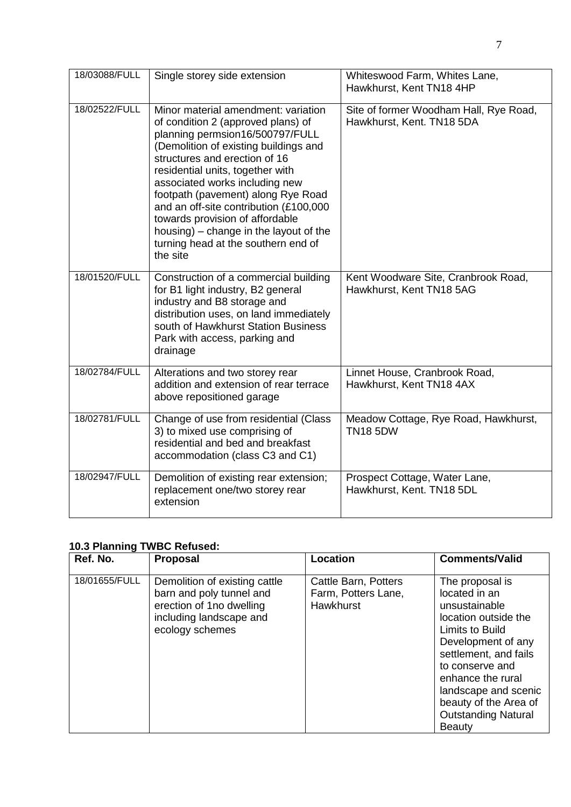| 18/03088/FULL | Single storey side extension                                                                                                                                                                                                                                                                                                                                                                                                                                                 | Whiteswood Farm, Whites Lane,<br>Hawkhurst, Kent TN18 4HP           |
|---------------|------------------------------------------------------------------------------------------------------------------------------------------------------------------------------------------------------------------------------------------------------------------------------------------------------------------------------------------------------------------------------------------------------------------------------------------------------------------------------|---------------------------------------------------------------------|
| 18/02522/FULL | Minor material amendment: variation<br>of condition 2 (approved plans) of<br>planning permsion16/500797/FULL<br>(Demolition of existing buildings and<br>structures and erection of 16<br>residential units, together with<br>associated works including new<br>footpath (pavement) along Rye Road<br>and an off-site contribution (£100,000<br>towards provision of affordable<br>housing) – change in the layout of the<br>turning head at the southern end of<br>the site | Site of former Woodham Hall, Rye Road,<br>Hawkhurst, Kent. TN18 5DA |
| 18/01520/FULL | Construction of a commercial building<br>for B1 light industry, B2 general<br>industry and B8 storage and<br>distribution uses, on land immediately<br>south of Hawkhurst Station Business<br>Park with access, parking and<br>drainage                                                                                                                                                                                                                                      | Kent Woodware Site, Cranbrook Road,<br>Hawkhurst, Kent TN18 5AG     |
| 18/02784/FULL | Alterations and two storey rear<br>addition and extension of rear terrace<br>above repositioned garage                                                                                                                                                                                                                                                                                                                                                                       | Linnet House, Cranbrook Road,<br>Hawkhurst, Kent TN18 4AX           |
| 18/02781/FULL | Change of use from residential (Class<br>3) to mixed use comprising of<br>residential and bed and breakfast<br>accommodation (class C3 and C1)                                                                                                                                                                                                                                                                                                                               | Meadow Cottage, Rye Road, Hawkhurst,<br><b>TN18 5DW</b>             |
| 18/02947/FULL | Demolition of existing rear extension;<br>replacement one/two storey rear<br>extension                                                                                                                                                                                                                                                                                                                                                                                       | Prospect Cottage, Water Lane,<br>Hawkhurst, Kent. TN18 5DL          |

# **10.3 Planning TWBC Refused:**

| Ref. No.      | <b>Proposal</b>                                                                                                                     | <b>Location</b>                                                 | <b>Comments/Valid</b>                                                                                                                                                                                                                                                        |
|---------------|-------------------------------------------------------------------------------------------------------------------------------------|-----------------------------------------------------------------|------------------------------------------------------------------------------------------------------------------------------------------------------------------------------------------------------------------------------------------------------------------------------|
| 18/01655/FULL | Demolition of existing cattle<br>barn and poly tunnel and<br>erection of 1no dwelling<br>including landscape and<br>ecology schemes | Cattle Barn, Potters<br>Farm, Potters Lane,<br><b>Hawkhurst</b> | The proposal is<br>located in an<br>unsustainable<br>location outside the<br>Limits to Build<br>Development of any<br>settlement, and fails<br>to conserve and<br>enhance the rural<br>landscape and scenic<br>beauty of the Area of<br><b>Outstanding Natural</b><br>Beauty |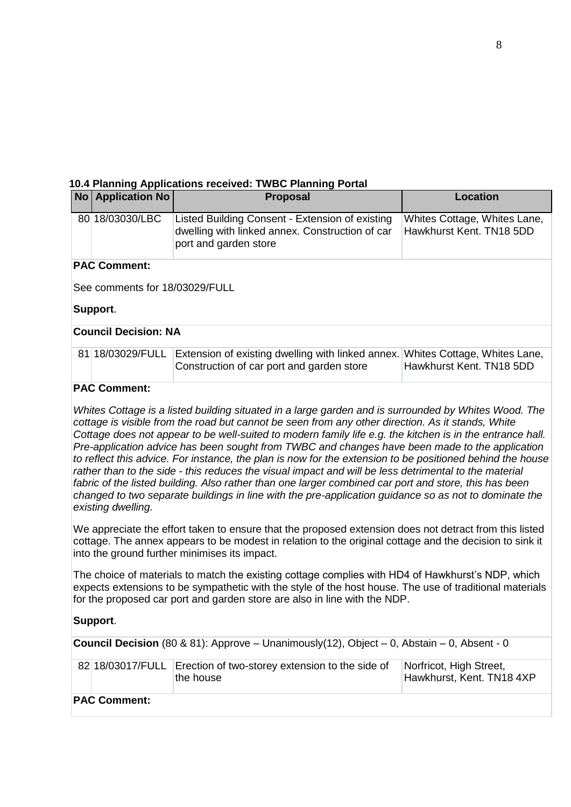### **10.4 Planning Applications received: TWBC Planning Portal**

|                             | No Application No              | <b>Proposal</b>                                                                                                             | <b>Location</b>                                          |  |  |
|-----------------------------|--------------------------------|-----------------------------------------------------------------------------------------------------------------------------|----------------------------------------------------------|--|--|
|                             | 80 18/03030/LBC                | Listed Building Consent - Extension of existing<br>dwelling with linked annex. Construction of car<br>port and garden store | Whites Cottage, Whites Lane,<br>Hawkhurst Kent, TN18 5DD |  |  |
|                             | <b>PAC Comment:</b>            |                                                                                                                             |                                                          |  |  |
|                             | See comments for 18/03029/FULL |                                                                                                                             |                                                          |  |  |
|                             | Support.                       |                                                                                                                             |                                                          |  |  |
| <b>Council Decision: NA</b> |                                |                                                                                                                             |                                                          |  |  |
|                             | 81 18/03029/FULL               | Extension of existing dwelling with linked annex.<br>Construction of car port and garden store                              | Whites Cottage, Whites Lane,<br>Hawkhurst Kent, TN18 5DD |  |  |
|                             | <b>PAC Comment:</b>            |                                                                                                                             |                                                          |  |  |

*Whites Cottage is a listed building situated in a large garden and is surrounded by Whites Wood. The cottage is visible from the road but cannot be seen from any other direction. As it stands, White Cottage does not appear to be well-suited to modern family life e.g. the kitchen is in the entrance hall. Pre-application advice has been sought from TWBC and changes have been made to the application to reflect this advice. For instance, the plan is now for the extension to be positioned behind the house rather than to the side - this reduces the visual impact and will be less detrimental to the material fabric of the listed building. Also rather than one larger combined car port and store, this has been changed to two separate buildings in line with the pre-application guidance so as not to dominate the existing dwelling.*

We appreciate the effort taken to ensure that the proposed extension does not detract from this listed cottage. The annex appears to be modest in relation to the original cottage and the decision to sink it into the ground further minimises its impact.

The choice of materials to match the existing cottage complies with HD4 of Hawkhurst's NDP, which expects extensions to be sympathetic with the style of the host house. The use of traditional materials for the proposed car port and garden store are also in line with the NDP.

## **Support**.

**Council Decision** (80 & 81): Approve – Unanimously(12), Object – 0, Abstain – 0, Absent - 0

|                     | 82 18/03017/FULL Erection of two-storey extension to the side of<br>the house | Norfricot, High Street,<br>Hawkhurst, Kent. TN18 4XP |  |  |  |
|---------------------|-------------------------------------------------------------------------------|------------------------------------------------------|--|--|--|
| <b>PAC Comment:</b> |                                                                               |                                                      |  |  |  |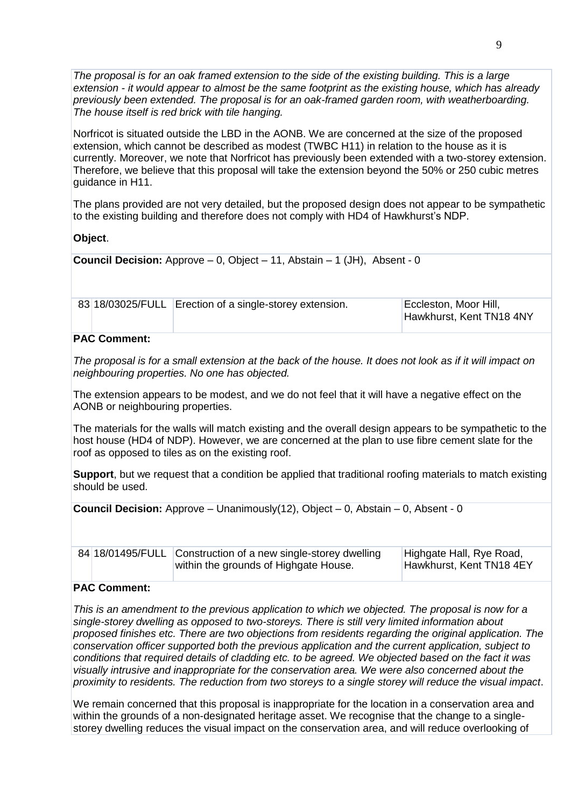*The proposal is for an oak framed extension to the side of the existing building. This is a large extension - it would appear to almost be the same footprint as the existing house, which has already previously been extended. The proposal is for an oak-framed garden room, with weatherboarding. The house itself is red brick with tile hanging.*

Norfricot is situated outside the LBD in the AONB. We are concerned at the size of the proposed extension, which cannot be described as modest (TWBC H11) in relation to the house as it is currently. Moreover, we note that Norfricot has previously been extended with a two-storey extension. Therefore, we believe that this proposal will take the extension beyond the 50% or 250 cubic metres guidance in H11.

The plans provided are not very detailed, but the proposed design does not appear to be sympathetic to the existing building and therefore does not comply with HD4 of Hawkhurst's NDP.

**Object**.

**Council Decision:** Approve – 0, Object – 11, Abstain – 1 (JH), Absent - 0

|                      | 83 18/03025/FULL Erection of a single-storey extension. | Eccleston, Moor Hill,<br>Hawkhurst, Kent TN18 4NY |  |  |
|----------------------|---------------------------------------------------------|---------------------------------------------------|--|--|
| $\sim$ $\sim$ $\sim$ |                                                         |                                                   |  |  |

### **PAC Comment:**

*The proposal is for a small extension at the back of the house. It does not look as if it will impact on neighbouring properties. No one has objected.*

The extension appears to be modest, and we do not feel that it will have a negative effect on the AONB or neighbouring properties.

The materials for the walls will match existing and the overall design appears to be sympathetic to the host house (HD4 of NDP). However, we are concerned at the plan to use fibre cement slate for the roof as opposed to tiles as on the existing roof.

**Support**, but we request that a condition be applied that traditional roofing materials to match existing should be used.

**Council Decision:** Approve – Unanimously(12), Object – 0, Abstain – 0, Absent - 0

| 84 18/01495/FULL Construction of a new single-storey dwelling |                                       | Highgate Hall, Rye Road, |
|---------------------------------------------------------------|---------------------------------------|--------------------------|
|                                                               | within the grounds of Highgate House. | Hawkhurst, Kent TN18 4EY |

### **PAC Comment:**

*This is an amendment to the previous application to which we objected. The proposal is now for a single-storey dwelling as opposed to two-storeys. There is still very limited information about proposed finishes etc. There are two objections from residents regarding the original application. The conservation officer supported both the previous application and the current application, subject to conditions that required details of cladding etc. to be agreed. We objected based on the fact it was visually intrusive and inappropriate for the conservation area. We were also concerned about the proximity to residents. The reduction from two storeys to a single storey will reduce the visual impact*.

We remain concerned that this proposal is inappropriate for the location in a conservation area and within the grounds of a non-designated heritage asset. We recognise that the change to a singlestorey dwelling reduces the visual impact on the conservation area, and will reduce overlooking of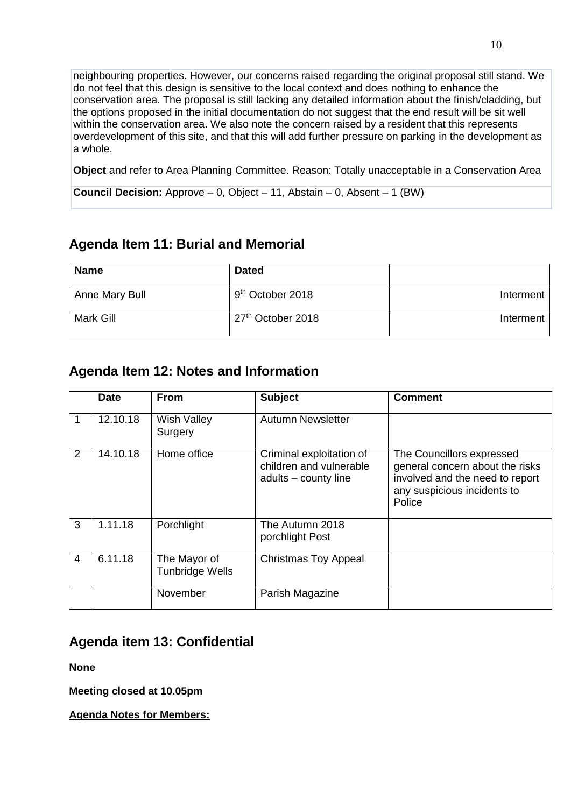neighbouring properties. However, our concerns raised regarding the original proposal still stand. We do not feel that this design is sensitive to the local context and does nothing to enhance the conservation area. The proposal is still lacking any detailed information about the finish/cladding, but the options proposed in the initial documentation do not suggest that the end result will be sit well within the conservation area. We also note the concern raised by a resident that this represents overdevelopment of this site, and that this will add further pressure on parking in the development as a whole.

**Object** and refer to Area Planning Committee. Reason: Totally unacceptable in a Conservation Area

**Council Decision:** Approve – 0, Object – 11, Abstain – 0, Absent – 1 (BW)

# **Agenda Item 11: Burial and Memorial**

| <b>Name</b>    | <b>Dated</b>                  |           |
|----------------|-------------------------------|-----------|
| Anne Mary Bull | 9 <sup>th</sup> October 2018  | Interment |
| Mark Gill      | 27 <sup>th</sup> October 2018 | Interment |

## **Agenda Item 12: Notes and Information**

|   | <b>Date</b> | <b>From</b>                            | <b>Subject</b>                                                              | <b>Comment</b>                                                                                                                           |
|---|-------------|----------------------------------------|-----------------------------------------------------------------------------|------------------------------------------------------------------------------------------------------------------------------------------|
| 1 | 12.10.18    | <b>Wish Valley</b><br>Surgery          | <b>Autumn Newsletter</b>                                                    |                                                                                                                                          |
| 2 | 14.10.18    | Home office                            | Criminal exploitation of<br>children and vulnerable<br>adults - county line | The Councillors expressed<br>general concern about the risks<br>involved and the need to report<br>any suspicious incidents to<br>Police |
| 3 | 1.11.18     | Porchlight                             | The Autumn 2018<br>porchlight Post                                          |                                                                                                                                          |
| 4 | 6.11.18     | The Mayor of<br><b>Tunbridge Wells</b> | <b>Christmas Toy Appeal</b>                                                 |                                                                                                                                          |
|   |             | November                               | Parish Magazine                                                             |                                                                                                                                          |

# **Agenda item 13: Confidential**

**None**

**Meeting closed at 10.05pm**

**Agenda Notes for Members:**